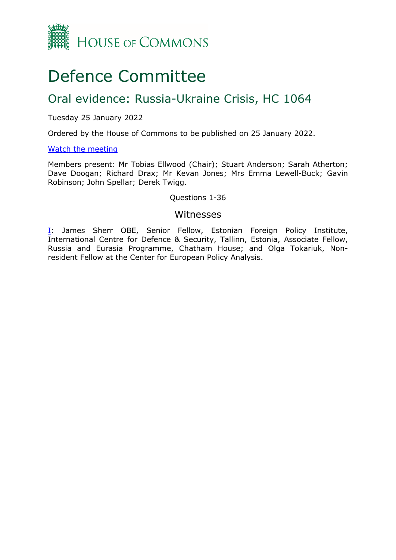

# Defence Committee

## Oral evidence: Russia-Ukraine Crisis, HC 1064

## Tuesday 25 January 2022

Ordered by the House of Commons to be published on 25 January 2022.

## [Watch](https://www.parliamentlive.tv/Event/Index/64d86212-ba5f-40cc-bf31-fe7f2a350844) [the](https://www.parliamentlive.tv/Event/Index/64d86212-ba5f-40cc-bf31-fe7f2a350844) [meeting](https://www.parliamentlive.tv/Event/Index/64d86212-ba5f-40cc-bf31-fe7f2a350844)

Members present: Mr Tobias Ellwood (Chair); Stuart Anderson; Sarah Atherton; Dave Doogan; Richard Drax; Mr Kevan Jones; Mrs Emma Lewell-Buck; Gavin Robinson; John Spellar; Derek Twigg.

## Questions 1-36

## Witnesses

[I:](#page-1-0) James Sherr OBE, Senior Fellow, Estonian Foreign Policy Institute, International Centre for Defence & Security, Tallinn, Estonia, Associate Fellow, Russia and Eurasia Programme, Chatham House; and Olga Tokariuk, Nonresident Fellow at the Center for European Policy Analysis.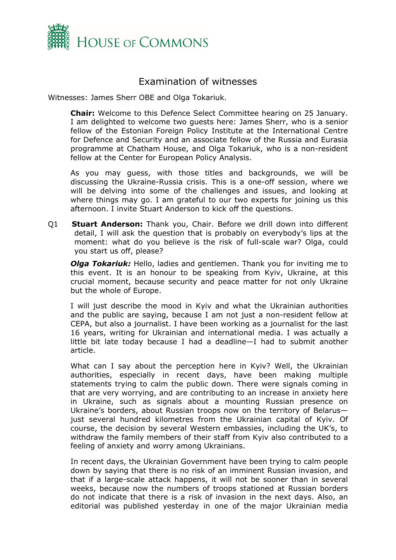

## <span id="page-1-0"></span>Examination of witnesses

Witnesses: James Sherr OBE and Olga Tokariuk.

**Chair:** Welcome to this Defence Select Committee hearing on 25 January. I am delighted to welcome two guests here: James Sherr, who is a senior fellow of the Estonian Foreign Policy Institute at the International Centre for Defence and Security and an associate fellow of the Russia and Eurasia programme at Chatham House, and Olga Tokariuk, who is a non-resident fellow at the Center for European Policy Analysis.

As you may guess, with those titles and backgrounds, we will be discussing the Ukraine-Russia crisis. This is a one-off session, where we will be delving into some of the challenges and issues, and looking at where things may go. I am grateful to our two experts for joining us this afternoon. I invite Stuart Anderson to kick off the questions.

Q1 **Stuart Anderson:** Thank you, Chair. Before we drill down into different detail, I will ask the question that is probably on everybody's lips at the moment: what do you believe is the risk of full-scale war? Olga, could you start us off, please?

*Olga Tokariuk:* Hello, ladies and gentlemen. Thank you for inviting me to this event. It is an honour to be speaking from Kyiv, Ukraine, at this crucial moment, because security and peace matter for not only Ukraine but the whole of Europe.

I will just describe the mood in Kyiv and what the Ukrainian authorities and the public are saying, because I am not just a non-resident fellow at CEPA, but also a journalist. I have been working as a journalist for the last 16 years, writing for Ukrainian and international media. I was actually a little bit late today because I had a deadline—I had to submit another article.

What can I say about the perception here in Kyiv? Well, the Ukrainian authorities, especially in recent days, have been making multiple statements trying to calm the public down. There were signals coming in that are very worrying, and are contributing to an increase in anxiety here in Ukraine, such as signals about a mounting Russian presence on Ukraine's borders, about Russian troops now on the territory of Belarus just several hundred kilometres from the Ukrainian capital of Kyiv. Of course, the decision by several Western embassies, including the UK's, to withdraw the family members of their staff from Kyiv also contributed to a feeling of anxiety and worry among Ukrainians.

In recent days, the Ukrainian Government have been trying to calm people down by saying that there is no risk of an imminent Russian invasion, and that if a large-scale attack happens, it will not be sooner than in several weeks, because now the numbers of troops stationed at Russian borders do not indicate that there is a risk of invasion in the next days. Also, an editorial was published yesterday in one of the major Ukrainian media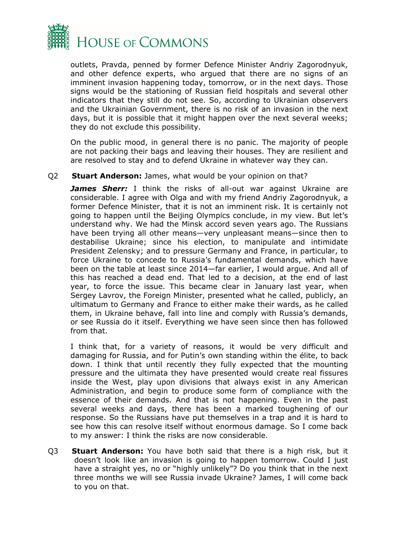

outlets, Pravda, penned by former Defence Minister Andriy Zagorodnyuk, and other defence experts, who argued that there are no signs of an imminent invasion happening today, tomorrow, or in the next days. Those signs would be the stationing of Russian field hospitals and several other indicators that they still do not see. So, according to Ukrainian observers and the Ukrainian Government, there is no risk of an invasion in the next days, but it is possible that it might happen over the next several weeks; they do not exclude this possibility.

On the public mood, in general there is no panic. The majority of people are not packing their bags and leaving their houses. They are resilient and are resolved to stay and to defend Ukraine in whatever way they can.

## Q2 **Stuart Anderson:** James, what would be your opinion on that?

*James Sherr:* I think the risks of all-out war against Ukraine are considerable. I agree with Olga and with my friend Andriy Zagorodnyuk, a former Defence Minister, that it is not an imminent risk. It is certainly not going to happen until the Beijing Olympics conclude, in my view. But let's understand why. We had the Minsk accord seven years ago. The Russians have been trying all other means—very unpleasant means—since then to destabilise Ukraine; since his election, to manipulate and intimidate President Zelensky; and to pressure Germany and France, in particular, to force Ukraine to concede to Russia's fundamental demands, which have been on the table at least since 2014—far earlier, I would argue. And all of this has reached a dead end. That led to a decision, at the end of last year, to force the issue. This became clear in January last year, when Sergey Lavrov, the Foreign Minister, presented what he called, publicly, an ultimatum to Germany and France to either make their wards, as he called them, in Ukraine behave, fall into line and comply with Russia's demands, or see Russia do it itself. Everything we have seen since then has followed from that.

I think that, for a variety of reasons, it would be very difficult and damaging for Russia, and for Putin's own standing within the élite, to back down. I think that until recently they fully expected that the mounting pressure and the ultimata they have presented would create real fissures inside the West, play upon divisions that always exist in any American Administration, and begin to produce some form of compliance with the essence of their demands. And that is not happening. Even in the past several weeks and days, there has been a marked toughening of our response. So the Russians have put themselves in a trap and it is hard to see how this can resolve itself without enormous damage. So I come back to my answer: I think the risks are now considerable.

Q3 **Stuart Anderson:** You have both said that there is a high risk, but it doesn't look like an invasion is going to happen tomorrow. Could I just have a straight yes, no or "highly unlikely"? Do you think that in the next three months we will see Russia invade Ukraine? James, I will come back to you on that.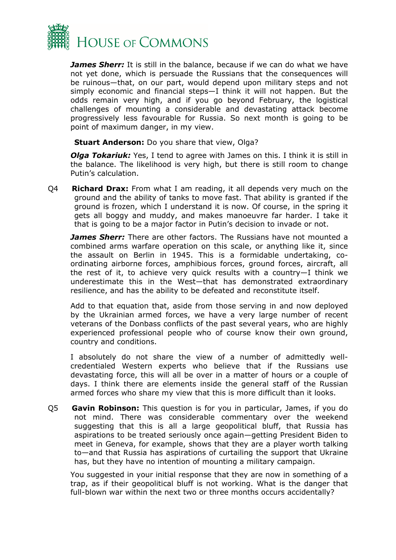

*James Sherr:* It is still in the balance, because if we can do what we have not yet done, which is persuade the Russians that the consequences will be ruinous—that, on our part, would depend upon military steps and not simply economic and financial steps—I think it will not happen. But the odds remain very high, and if you go beyond February, the logistical challenges of mounting a considerable and devastating attack become progressively less favourable for Russia. So next month is going to be point of maximum danger, in my view.

**Stuart Anderson:** Do you share that view, Olga?

*Olga Tokariuk:* Yes, I tend to agree with James on this. I think it is still in the balance. The likelihood is very high, but there is still room to change Putin's calculation.

Q4 **Richard Drax:** From what I am reading, it all depends very much on the ground and the ability of tanks to move fast. That ability is granted if the ground is frozen, which I understand it is now. Of course, in the spring it gets all boggy and muddy, and makes manoeuvre far harder. I take it that is going to be a major factor in Putin's decision to invade or not.

*James Sherr:* There are other factors. The Russians have not mounted a combined arms warfare operation on this scale, or anything like it, since the assault on Berlin in 1945. This is a formidable undertaking, coordinating airborne forces, amphibious forces, ground forces, aircraft, all the rest of it, to achieve very quick results with a country—I think we underestimate this in the West—that has demonstrated extraordinary resilience, and has the ability to be defeated and reconstitute itself.

Add to that equation that, aside from those serving in and now deployed by the Ukrainian armed forces, we have a very large number of recent veterans of the Donbass conflicts of the past several years, who are highly experienced professional people who of course know their own ground, country and conditions.

I absolutely do not share the view of a number of admittedly wellcredentialed Western experts who believe that if the Russians use devastating force, this will all be over in a matter of hours or a couple of days. I think there are elements inside the general staff of the Russian armed forces who share my view that this is more difficult than it looks.

Q5 **Gavin Robinson:** This question is for you in particular, James, if you do not mind. There was considerable commentary over the weekend suggesting that this is all a large geopolitical bluff, that Russia has aspirations to be treated seriously once again—getting President Biden to meet in Geneva, for example, shows that they are a player worth talking to—and that Russia has aspirations of curtailing the support that Ukraine has, but they have no intention of mounting a military campaign.

You suggested in your initial response that they are now in something of a trap, as if their geopolitical bluff is not working. What is the danger that full-blown war within the next two or three months occurs accidentally?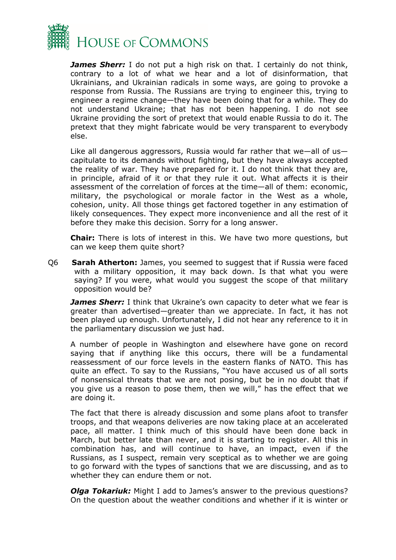

*James Sherr:* I do not put a high risk on that. I certainly do not think, contrary to a lot of what we hear and a lot of disinformation, that Ukrainians, and Ukrainian radicals in some ways, are going to provoke a response from Russia. The Russians are trying to engineer this, trying to engineer a regime change—they have been doing that for a while. They do not understand Ukraine; that has not been happening. I do not see Ukraine providing the sort of pretext that would enable Russia to do it. The pretext that they might fabricate would be very transparent to everybody else.

Like all dangerous aggressors, Russia would far rather that we—all of us capitulate to its demands without fighting, but they have always accepted the reality of war. They have prepared for it. I do not think that they are, in principle, afraid of it or that they rule it out. What affects it is their assessment of the correlation of forces at the time—all of them: economic, military, the psychological or morale factor in the West as a whole, cohesion, unity. All those things get factored together in any estimation of likely consequences. They expect more inconvenience and all the rest of it before they make this decision. Sorry for a long answer.

**Chair:** There is lots of interest in this. We have two more questions, but can we keep them quite short?

Q6 **Sarah Atherton:** James, you seemed to suggest that if Russia were faced with a military opposition, it may back down. Is that what you were saying? If you were, what would you suggest the scope of that military opposition would be?

*James Sherr:* I think that Ukraine's own capacity to deter what we fear is greater than advertised—greater than we appreciate. In fact, it has not been played up enough. Unfortunately, I did not hear any reference to it in the parliamentary discussion we just had.

A number of people in Washington and elsewhere have gone on record saying that if anything like this occurs, there will be a fundamental reassessment of our force levels in the eastern flanks of NATO. This has quite an effect. To say to the Russians, "You have accused us of all sorts of nonsensical threats that we are not posing, but be in no doubt that if you give us a reason to pose them, then we will," has the effect that we are doing it.

The fact that there is already discussion and some plans afoot to transfer troops, and that weapons deliveries are now taking place at an accelerated pace, all matter. I think much of this should have been done back in March, but better late than never, and it is starting to register. All this in combination has, and will continue to have, an impact, even if the Russians, as I suspect, remain very sceptical as to whether we are going to go forward with the types of sanctions that we are discussing, and as to whether they can endure them or not.

*Olga Tokariuk:* Might I add to James's answer to the previous questions? On the question about the weather conditions and whether if it is winter or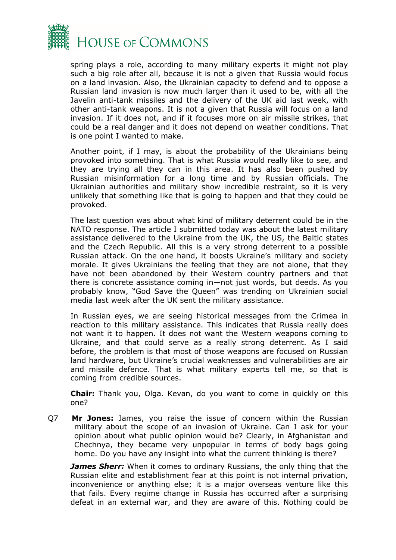

spring plays a role, according to many military experts it might not play such a big role after all, because it is not a given that Russia would focus on a land invasion. Also, the Ukrainian capacity to defend and to oppose a Russian land invasion is now much larger than it used to be, with all the Javelin anti-tank missiles and the delivery of the UK aid last week, with other anti-tank weapons. It is not a given that Russia will focus on a land invasion. If it does not, and if it focuses more on air missile strikes, that could be a real danger and it does not depend on weather conditions. That is one point I wanted to make.

Another point, if I may, is about the probability of the Ukrainians being provoked into something. That is what Russia would really like to see, and they are trying all they can in this area. It has also been pushed by Russian misinformation for a long time and by Russian officials. The Ukrainian authorities and military show incredible restraint, so it is very unlikely that something like that is going to happen and that they could be provoked.

The last question was about what kind of military deterrent could be in the NATO response. The article I submitted today was about the latest military assistance delivered to the Ukraine from the UK, the US, the Baltic states and the Czech Republic. All this is a very strong deterrent to a possible Russian attack. On the one hand, it boosts Ukraine's military and society morale. It gives Ukrainians the feeling that they are not alone, that they have not been abandoned by their Western country partners and that there is concrete assistance coming in—not just words, but deeds. As you probably know, "God Save the Queen" was trending on Ukrainian social media last week after the UK sent the military assistance.

In Russian eyes, we are seeing historical messages from the Crimea in reaction to this military assistance. This indicates that Russia really does not want it to happen. It does not want the Western weapons coming to Ukraine, and that could serve as a really strong deterrent. As I said before, the problem is that most of those weapons are focused on Russian land hardware, but Ukraine's crucial weaknesses and vulnerabilities are air and missile defence. That is what military experts tell me, so that is coming from credible sources.

**Chair:** Thank you, Olga. Kevan, do you want to come in quickly on this one?

Q7 **Mr Jones:** James, you raise the issue of concern within the Russian military about the scope of an invasion of Ukraine. Can I ask for your opinion about what public opinion would be? Clearly, in Afghanistan and Chechnya, they became very unpopular in terms of body bags going home. Do you have any insight into what the current thinking is there?

*James Sherr:* When it comes to ordinary Russians, the only thing that the Russian elite and establishment fear at this point is not internal privation, inconvenience or anything else; it is a major overseas venture like this that fails. Every regime change in Russia has occurred after a surprising defeat in an external war, and they are aware of this. Nothing could be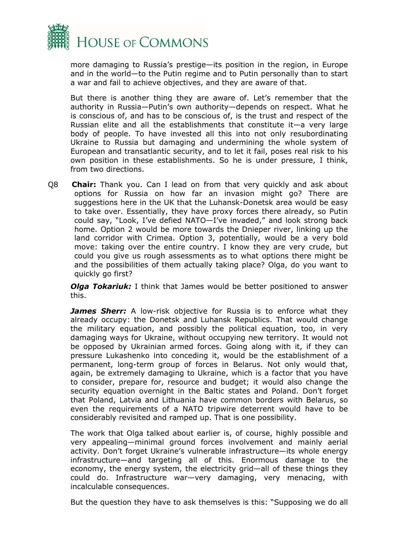

more damaging to Russia's prestige—its position in the region, in Europe and in the world—to the Putin regime and to Putin personally than to start a war and fail to achieve objectives, and they are aware of that.

But there is another thing they are aware of. Let's remember that the authority in Russia—Putin's own authority—depends on respect. What he is conscious of, and has to be conscious of, is the trust and respect of the Russian elite and all the establishments that constitute it—a very large body of people. To have invested all this into not only resubordinating Ukraine to Russia but damaging and undermining the whole system of European and transatlantic security, and to let it fail, poses real risk to his own position in these establishments. So he is under pressure, I think, from two directions.

Q8 **Chair:** Thank you. Can I lead on from that very quickly and ask about options for Russia on how far an invasion might go? There are suggestions here in the UK that the Luhansk-Donetsk area would be easy to take over. Essentially, they have proxy forces there already, so Putin could say, "Look, I've defied NATO—I've invaded," and look strong back home. Option 2 would be more towards the Dnieper river, linking up the land corridor with Crimea. Option 3, potentially, would be a very bold move: taking over the entire country. I know they are very crude, but could you give us rough assessments as to what options there might be and the possibilities of them actually taking place? Olga, do you want to quickly go first?

*Olga Tokariuk:* I think that James would be better positioned to answer this.

*James Sherr:* A low-risk objective for Russia is to enforce what they already occupy: the Donetsk and Luhansk Republics. That would change the military equation, and possibly the political equation, too, in very damaging ways for Ukraine, without occupying new territory. It would not be opposed by Ukrainian armed forces. Going along with it, if they can pressure Lukashenko into conceding it, would be the establishment of a permanent, long-term group of forces in Belarus. Not only would that, again, be extremely damaging to Ukraine, which is a factor that you have to consider, prepare for, resource and budget; it would also change the security equation overnight in the Baltic states and Poland. Don't forget that Poland, Latvia and Lithuania have common borders with Belarus, so even the requirements of a NATO tripwire deterrent would have to be considerably revisited and ramped up. That is one possibility.

The work that Olga talked about earlier is, of course, highly possible and very appealing—minimal ground forces involvement and mainly aerial activity. Don't forget Ukraine's vulnerable infrastructure—its whole energy infrastructure—and targeting all of this. Enormous damage to the economy, the energy system, the electricity grid—all of these things they could do. Infrastructure war—very damaging, very menacing, with incalculable consequences.

But the question they have to ask themselves is this: "Supposing we do all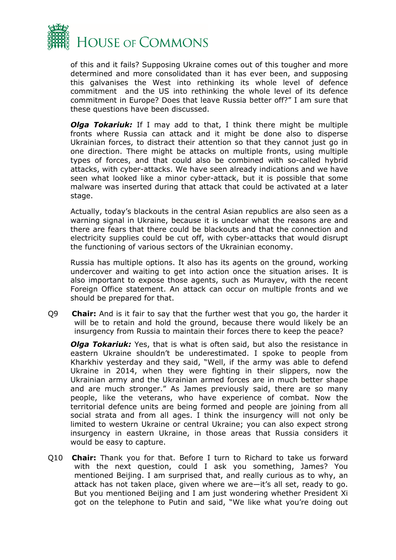

of this and it fails? Supposing Ukraine comes out of this tougher and more determined and more consolidated than it has ever been, and supposing this galvanises the West into rethinking its whole level of defence commitment and the US into rethinking the whole level of its defence commitment in Europe? Does that leave Russia better off?" I am sure that these questions have been discussed.

*Olga Tokariuk:* If I may add to that, I think there might be multiple fronts where Russia can attack and it might be done also to disperse Ukrainian forces, to distract their attention so that they cannot just go in one direction. There might be attacks on multiple fronts, using multiple types of forces, and that could also be combined with so-called hybrid attacks, with cyber-attacks. We have seen already indications and we have seen what looked like a minor cyber-attack, but it is possible that some malware was inserted during that attack that could be activated at a later stage.

Actually, today's blackouts in the central Asian republics are also seen as a warning signal in Ukraine, because it is unclear what the reasons are and there are fears that there could be blackouts and that the connection and electricity supplies could be cut off, with cyber-attacks that would disrupt the functioning of various sectors of the Ukrainian economy.

Russia has multiple options. It also has its agents on the ground, working undercover and waiting to get into action once the situation arises. It is also important to expose those agents, such as Murayev, with the recent Foreign Office statement. An attack can occur on multiple fronts and we should be prepared for that.

Q9 **Chair:** And is it fair to say that the further west that you go, the harder it will be to retain and hold the ground, because there would likely be an insurgency from Russia to maintain their forces there to keep the peace?

*Olga Tokariuk:* Yes, that is what is often said, but also the resistance in eastern Ukraine shouldn't be underestimated. I spoke to people from Kharkhiv yesterday and they said, "Well, if the army was able to defend Ukraine in 2014, when they were fighting in their slippers, now the Ukrainian army and the Ukrainian armed forces are in much better shape and are much stronger." As James previously said, there are so many people, like the veterans, who have experience of combat. Now the territorial defence units are being formed and people are joining from all social strata and from all ages. I think the insurgency will not only be limited to western Ukraine or central Ukraine; you can also expect strong insurgency in eastern Ukraine, in those areas that Russia considers it would be easy to capture.

Q10 **Chair:** Thank you for that. Before I turn to Richard to take us forward with the next question, could I ask you something, James? You mentioned Beijing. I am surprised that, and really curious as to why, an attack has not taken place, given where we are—it's all set, ready to go. But you mentioned Beijing and I am just wondering whether President Xi got on the telephone to Putin and said, "We like what you're doing out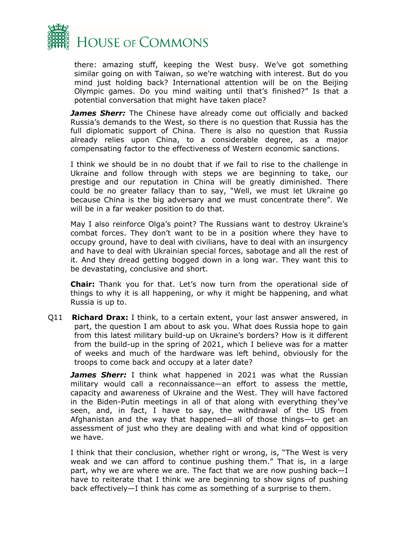

there: amazing stuff, keeping the West busy. We've got something similar going on with Taiwan, so we're watching with interest. But do you mind just holding back? International attention will be on the Beijing Olympic games. Do you mind waiting until that's finished?" Is that a potential conversation that might have taken place?

*James Sherr:* The Chinese have already come out officially and backed Russia's demands to the West, so there is no question that Russia has the full diplomatic support of China. There is also no question that Russia already relies upon China, to a considerable degree, as a major compensating factor to the effectiveness of Western economic sanctions.

I think we should be in no doubt that if we fail to rise to the challenge in Ukraine and follow through with steps we are beginning to take, our prestige and our reputation in China will be greatly diminished. There could be no greater fallacy than to say, "Well, we must let Ukraine go because China is the big adversary and we must concentrate there". We will be in a far weaker position to do that.

May I also reinforce Olga's point? The Russians want to destroy Ukraine's combat forces. They don't want to be in a position where they have to occupy ground, have to deal with civilians, have to deal with an insurgency and have to deal with Ukrainian special forces, sabotage and all the rest of it. And they dread getting bogged down in a long war. They want this to be devastating, conclusive and short.

**Chair:** Thank you for that. Let's now turn from the operational side of things to why it is all happening, or why it might be happening, and what Russia is up to.

Q11 **Richard Drax:** I think, to a certain extent, your last answer answered, in part, the question I am about to ask you. What does Russia hope to gain from this latest military build-up on Ukraine's borders? How is it different from the build-up in the spring of 2021, which I believe was for a matter of weeks and much of the hardware was left behind, obviously for the troops to come back and occupy at a later date?

*James Sherr:* I think what happened in 2021 was what the Russian military would call a reconnaissance—an effort to assess the mettle, capacity and awareness of Ukraine and the West. They will have factored in the Biden-Putin meetings in all of that along with everything they've seen, and, in fact, I have to say, the withdrawal of the US from Afghanistan and the way that happened—all of those things—to get an assessment of just who they are dealing with and what kind of opposition we have.

I think that their conclusion, whether right or wrong, is, "The West is very weak and we can afford to continue pushing them." That is, in a large part, why we are where we are. The fact that we are now pushing back—I have to reiterate that I think we are beginning to show signs of pushing back effectively—I think has come as something of a surprise to them.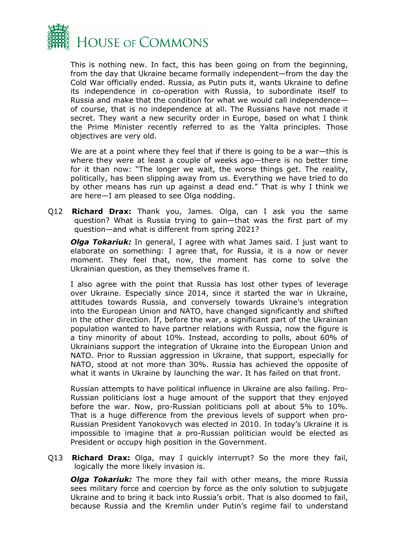

This is nothing new. In fact, this has been going on from the beginning, from the day that Ukraine became formally independent—from the day the Cold War officially ended. Russia, as Putin puts it, wants Ukraine to define its independence in co-operation with Russia, to subordinate itself to Russia and make that the condition for what we would call independence of course, that is no independence at all. The Russians have not made it secret. They want a new security order in Europe, based on what I think the Prime Minister recently referred to as the Yalta principles. Those objectives are very old.

We are at a point where they feel that if there is going to be a war-this is where they were at least a couple of weeks ago—there is no better time for it than now: "The longer we wait, the worse things get. The reality, politically, has been slipping away from us. Everything we have tried to do by other means has run up against a dead end." That is why I think we are here—I am pleased to see Olga nodding.

Q12 **Richard Drax:** Thank you, James. Olga, can I ask you the same question? What is Russia trying to gain—that was the first part of my question—and what is different from spring 2021?

*Olga Tokariuk:* In general, I agree with what James said. I just want to elaborate on something: I agree that, for Russia, it is a now or never moment. They feel that, now, the moment has come to solve the Ukrainian question, as they themselves frame it.

I also agree with the point that Russia has lost other types of leverage over Ukraine. Especially since 2014, since it started the war in Ukraine, attitudes towards Russia, and conversely towards Ukraine's integration into the European Union and NATO, have changed significantly and shifted in the other direction. If, before the war, a significant part of the Ukrainian population wanted to have partner relations with Russia, now the figure is a tiny minority of about 10%. Instead, according to polls, about 60% of Ukrainians support the integration of Ukraine into the European Union and NATO. Prior to Russian aggression in Ukraine, that support, especially for NATO, stood at not more than 30%. Russia has achieved the opposite of what it wants in Ukraine by launching the war. It has failed on that front.

Russian attempts to have political influence in Ukraine are also failing. Pro-Russian politicians lost a huge amount of the support that they enjoyed before the war. Now, pro-Russian politicians poll at about 5% to 10%. That is a huge difference from the previous levels of support when pro-Russian President Yanokovych was elected in 2010. In today's Ukraine it is impossible to imagine that a pro-Russian politician would be elected as President or occupy high position in the Government.

Q13 **Richard Drax:** Olga, may I quickly interrupt? So the more they fail, logically the more likely invasion is.

*Olga Tokariuk:* The more they fail with other means, the more Russia sees military force and coercion by force as the only solution to subjugate Ukraine and to bring it back into Russia's orbit. That is also doomed to fail, because Russia and the Kremlin under Putin's regime fail to understand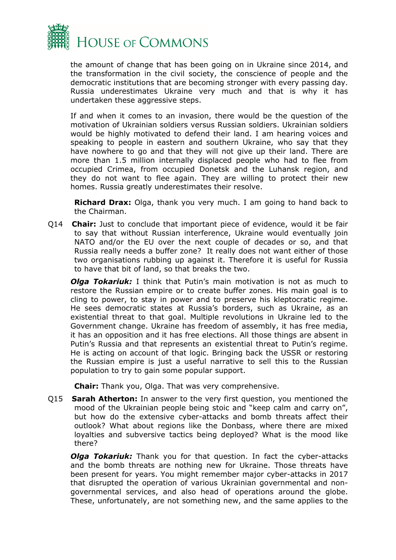

the amount of change that has been going on in Ukraine since 2014, and the transformation in the civil society, the conscience of people and the democratic institutions that are becoming stronger with every passing day. Russia underestimates Ukraine very much and that is why it has undertaken these aggressive steps.

If and when it comes to an invasion, there would be the question of the motivation of Ukrainian soldiers versus Russian soldiers. Ukrainian soldiers would be highly motivated to defend their land. I am hearing voices and speaking to people in eastern and southern Ukraine, who say that they have nowhere to go and that they will not give up their land. There are more than 1.5 million internally displaced people who had to flee from occupied Crimea, from occupied Donetsk and the Luhansk region, and they do not want to flee again. They are willing to protect their new homes. Russia greatly underestimates their resolve.

**Richard Drax:** Olga, thank you very much. I am going to hand back to the Chairman.

Q14 **Chair:** Just to conclude that important piece of evidence, would it be fair to say that without Russian interference, Ukraine would eventually join NATO and/or the EU over the next couple of decades or so, and that Russia really needs a buffer zone? It really does not want either of those two organisations rubbing up against it. Therefore it is useful for Russia to have that bit of land, so that breaks the two.

*Olga Tokariuk:* I think that Putin's main motivation is not as much to restore the Russian empire or to create buffer zones. His main goal is to cling to power, to stay in power and to preserve his kleptocratic regime. He sees democratic states at Russia's borders, such as Ukraine, as an existential threat to that goal. Multiple revolutions in Ukraine led to the Government change. Ukraine has freedom of assembly, it has free media, it has an opposition and it has free elections. All those things are absent in Putin's Russia and that represents an existential threat to Putin's regime. He is acting on account of that logic. Bringing back the USSR or restoring the Russian empire is just a useful narrative to sell this to the Russian population to try to gain some popular support.

**Chair:** Thank you, Olga. That was very comprehensive.

Q15 **Sarah Atherton:** In answer to the very first question, you mentioned the mood of the Ukrainian people being stoic and "keep calm and carry on", but how do the extensive cyber-attacks and bomb threats affect their outlook? What about regions like the Donbass, where there are mixed loyalties and subversive tactics being deployed? What is the mood like there?

*Olga Tokariuk:* Thank you for that question. In fact the cyber-attacks and the bomb threats are nothing new for Ukraine. Those threats have been present for years. You might remember major cyber-attacks in 2017 that disrupted the operation of various Ukrainian governmental and nongovernmental services, and also head of operations around the globe. These, unfortunately, are not something new, and the same applies to the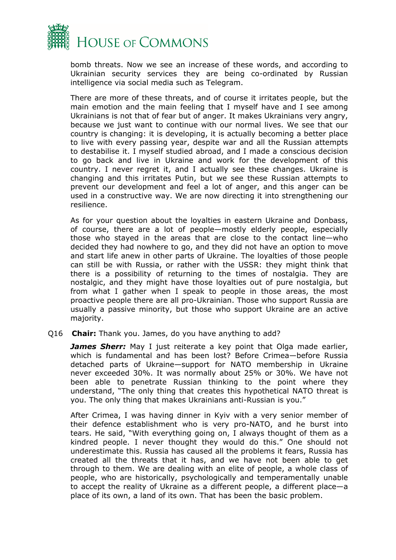

bomb threats. Now we see an increase of these words, and according to Ukrainian security services they are being co-ordinated by Russian intelligence via social media such as Telegram.

There are more of these threats, and of course it irritates people, but the main emotion and the main feeling that I myself have and I see among Ukrainians is not that of fear but of anger. It makes Ukrainians very angry, because we just want to continue with our normal lives. We see that our country is changing: it is developing, it is actually becoming a better place to live with every passing year, despite war and all the Russian attempts to destabilise it. I myself studied abroad, and I made a conscious decision to go back and live in Ukraine and work for the development of this country. I never regret it, and I actually see these changes. Ukraine is changing and this irritates Putin, but we see these Russian attempts to prevent our development and feel a lot of anger, and this anger can be used in a constructive way. We are now directing it into strengthening our resilience.

As for your question about the loyalties in eastern Ukraine and Donbass, of course, there are a lot of people—mostly elderly people, especially those who stayed in the areas that are close to the contact line—who decided they had nowhere to go, and they did not have an option to move and start life anew in other parts of Ukraine. The loyalties of those people can still be with Russia, or rather with the USSR: they might think that there is a possibility of returning to the times of nostalgia. They are nostalgic, and they might have those loyalties out of pure nostalgia, but from what I gather when I speak to people in those areas, the most proactive people there are all pro-Ukrainian. Those who support Russia are usually a passive minority, but those who support Ukraine are an active majority.

## Q16 **Chair:** Thank you. James, do you have anything to add?

*James Sherr:* May I just reiterate a key point that Olga made earlier, which is fundamental and has been lost? Before Crimea—before Russia detached parts of Ukraine—support for NATO membership in Ukraine never exceeded 30%. It was normally about 25% or 30%. We have not been able to penetrate Russian thinking to the point where they understand, "The only thing that creates this hypothetical NATO threat is you. The only thing that makes Ukrainians anti-Russian is you."

After Crimea, I was having dinner in Kyiv with a very senior member of their defence establishment who is very pro-NATO, and he burst into tears. He said, "With everything going on, I always thought of them as a kindred people. I never thought they would do this." One should not underestimate this. Russia has caused all the problems it fears, Russia has created all the threats that it has, and we have not been able to get through to them. We are dealing with an elite of people, a whole class of people, who are historically, psychologically and temperamentally unable to accept the reality of Ukraine as a different people, a different place—a place of its own, a land of its own. That has been the basic problem.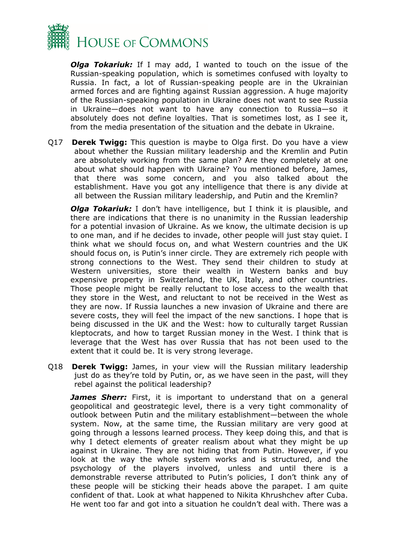

*Olga Tokariuk:* If I may add, I wanted to touch on the issue of the Russian-speaking population, which is sometimes confused with loyalty to Russia. In fact, a lot of Russian-speaking people are in the Ukrainian armed forces and are fighting against Russian aggression. A huge majority of the Russian-speaking population in Ukraine does not want to see Russia in Ukraine—does not want to have any connection to Russia—so it absolutely does not define loyalties. That is sometimes lost, as I see it, from the media presentation of the situation and the debate in Ukraine.

Q17 **Derek Twigg:** This question is maybe to Olga first. Do you have a view about whether the Russian military leadership and the Kremlin and Putin are absolutely working from the same plan? Are they completely at one about what should happen with Ukraine? You mentioned before, James, that there was some concern, and you also talked about the establishment. Have you got any intelligence that there is any divide at all between the Russian military leadership, and Putin and the Kremlin?

*Olga Tokariuk:* I don't have intelligence, but I think it is plausible, and there are indications that there is no unanimity in the Russian leadership for a potential invasion of Ukraine. As we know, the ultimate decision is up to one man, and if he decides to invade, other people will just stay quiet. I think what we should focus on, and what Western countries and the UK should focus on, is Putin's inner circle. They are extremely rich people with strong connections to the West. They send their children to study at Western universities, store their wealth in Western banks and buy expensive property in Switzerland, the UK, Italy, and other countries. Those people might be really reluctant to lose access to the wealth that they store in the West, and reluctant to not be received in the West as they are now. If Russia launches a new invasion of Ukraine and there are severe costs, they will feel the impact of the new sanctions. I hope that is being discussed in the UK and the West: how to culturally target Russian kleptocrats, and how to target Russian money in the West. I think that is leverage that the West has over Russia that has not been used to the extent that it could be. It is very strong leverage.

Q18 **Derek Twigg:** James, in your view will the Russian military leadership just do as they're told by Putin, or, as we have seen in the past, will they rebel against the political leadership?

*James Sherr:* First, it is important to understand that on a general geopolitical and geostrategic level, there is a very tight commonality of outlook between Putin and the military establishment—between the whole system. Now, at the same time, the Russian military are very good at going through a lessons learned process. They keep doing this, and that is why I detect elements of greater realism about what they might be up against in Ukraine. They are not hiding that from Putin. However, if you look at the way the whole system works and is structured, and the psychology of the players involved, unless and until there is a demonstrable reverse attributed to Putin's policies, I don't think any of these people will be sticking their heads above the parapet. I am quite confident of that. Look at what happened to Nikita Khrushchev after Cuba. He went too far and got into a situation he couldn't deal with. There was a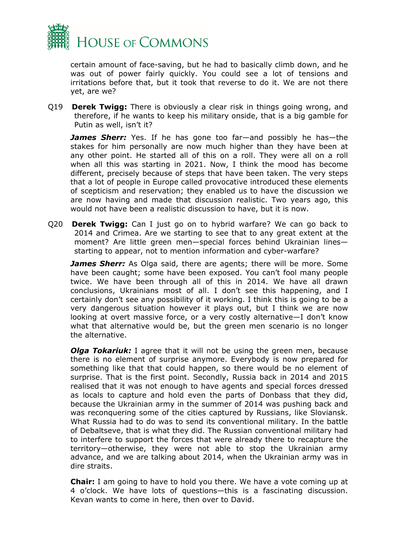

certain amount of face-saving, but he had to basically climb down, and he was out of power fairly quickly. You could see a lot of tensions and irritations before that, but it took that reverse to do it. We are not there yet, are we?

Q19 **Derek Twigg:** There is obviously a clear risk in things going wrong, and therefore, if he wants to keep his military onside, that is a big gamble for Putin as well, isn't it?

*James Sherr:* Yes. If he has gone too far—and possibly he has—the stakes for him personally are now much higher than they have been at any other point. He started all of this on a roll. They were all on a roll when all this was starting in 2021. Now, I think the mood has become different, precisely because of steps that have been taken. The very steps that a lot of people in Europe called provocative introduced these elements of scepticism and reservation; they enabled us to have the discussion we are now having and made that discussion realistic. Two years ago, this would not have been a realistic discussion to have, but it is now.

Q20 **Derek Twigg:** Can I just go on to hybrid warfare? We can go back to 2014 and Crimea. Are we starting to see that to any great extent at the moment? Are little green men—special forces behind Ukrainian lines starting to appear, not to mention information and cyber-warfare?

*James Sherr:* As Olga said, there are agents; there will be more. Some have been caught; some have been exposed. You can't fool many people twice. We have been through all of this in 2014. We have all drawn conclusions, Ukrainians most of all. I don't see this happening, and I certainly don't see any possibility of it working. I think this is going to be a very dangerous situation however it plays out, but I think we are now looking at overt massive force, or a very costly alternative—I don't know what that alternative would be, but the green men scenario is no longer the alternative.

*Olga Tokariuk:* I agree that it will not be using the green men, because there is no element of surprise anymore. Everybody is now prepared for something like that that could happen, so there would be no element of surprise. That is the first point. Secondly, Russia back in 2014 and 2015 realised that it was not enough to have agents and special forces dressed as locals to capture and hold even the parts of Donbass that they did, because the Ukrainian army in the summer of 2014 was pushing back and was reconquering some of the cities captured by Russians, like Sloviansk. What Russia had to do was to send its conventional military. In the battle of Debaltseve, that is what they did. The Russian conventional military had to interfere to support the forces that were already there to recapture the territory—otherwise, they were not able to stop the Ukrainian army advance, and we are talking about 2014, when the Ukrainian army was in dire straits.

**Chair:** I am going to have to hold you there. We have a vote coming up at 4 o'clock. We have lots of questions—this is a fascinating discussion. Kevan wants to come in here, then over to David.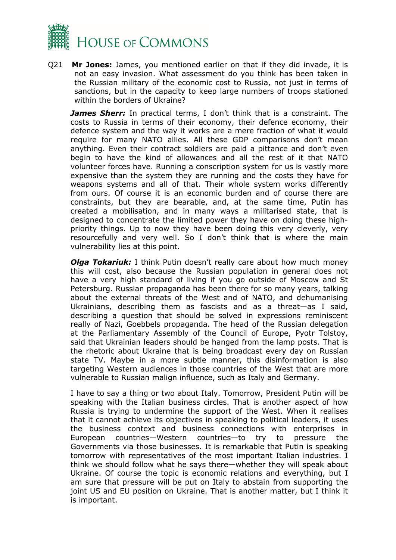

Q21 **Mr Jones:** James, you mentioned earlier on that if they did invade, it is not an easy invasion. What assessment do you think has been taken in the Russian military of the economic cost to Russia, not just in terms of sanctions, but in the capacity to keep large numbers of troops stationed within the borders of Ukraine?

*James Sherr:* In practical terms, I don't think that is a constraint. The costs to Russia in terms of their economy, their defence economy, their defence system and the way it works are a mere fraction of what it would require for many NATO allies. All these GDP comparisons don't mean anything. Even their contract soldiers are paid a pittance and don't even begin to have the kind of allowances and all the rest of it that NATO volunteer forces have. Running a conscription system for us is vastly more expensive than the system they are running and the costs they have for weapons systems and all of that. Their whole system works differently from ours. Of course it is an economic burden and of course there are constraints, but they are bearable, and, at the same time, Putin has created a mobilisation, and in many ways a militarised state, that is designed to concentrate the limited power they have on doing these highpriority things. Up to now they have been doing this very cleverly, very resourcefully and very well. So I don't think that is where the main vulnerability lies at this point.

*Olga Tokariuk:* I think Putin doesn't really care about how much money this will cost, also because the Russian population in general does not have a very high standard of living if you go outside of Moscow and St Petersburg. Russian propaganda has been there for so many years, talking about the external threats of the West and of NATO, and dehumanising Ukrainians, describing them as fascists and as a threat—as I said, describing a question that should be solved in expressions reminiscent really of Nazi, Goebbels propaganda. The head of the Russian delegation at the Parliamentary Assembly of the Council of Europe, Pyotr Tolstoy, said that Ukrainian leaders should be hanged from the lamp posts. That is the rhetoric about Ukraine that is being broadcast every day on Russian state TV. Maybe in a more subtle manner, this disinformation is also targeting Western audiences in those countries of the West that are more vulnerable to Russian malign influence, such as Italy and Germany.

I have to say a thing or two about Italy. Tomorrow, President Putin will be speaking with the Italian business circles. That is another aspect of how Russia is trying to undermine the support of the West. When it realises that it cannot achieve its objectives in speaking to political leaders, it uses the business context and business connections with enterprises in European countries—Western countries—to try to pressure the Governments via those businesses. It is remarkable that Putin is speaking tomorrow with representatives of the most important Italian industries. I think we should follow what he says there—whether they will speak about Ukraine. Of course the topic is economic relations and everything, but I am sure that pressure will be put on Italy to abstain from supporting the joint US and EU position on Ukraine. That is another matter, but I think it is important.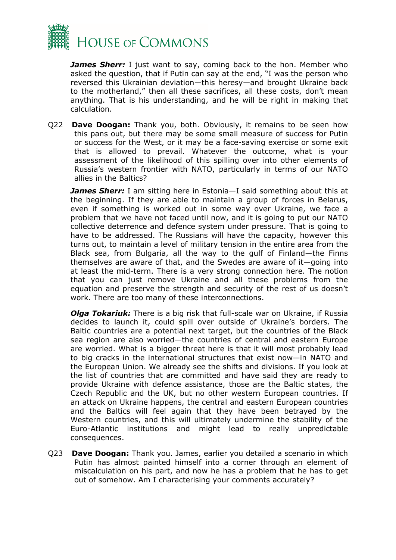

*James Sherr:* I just want to say, coming back to the hon. Member who asked the question, that if Putin can say at the end, "I was the person who reversed this Ukrainian deviation—this heresy—and brought Ukraine back to the motherland," then all these sacrifices, all these costs, don't mean anything. That is his understanding, and he will be right in making that calculation.

Q22 **Dave Doogan:** Thank you, both. Obviously, it remains to be seen how this pans out, but there may be some small measure of success for Putin or success for the West, or it may be a face-saving exercise or some exit that is allowed to prevail. Whatever the outcome, what is your assessment of the likelihood of this spilling over into other elements of Russia's western frontier with NATO, particularly in terms of our NATO allies in the Baltics?

*James Sherr:* I am sitting here in Estonia—I said something about this at the beginning. If they are able to maintain a group of forces in Belarus, even if something is worked out in some way over Ukraine, we face a problem that we have not faced until now, and it is going to put our NATO collective deterrence and defence system under pressure. That is going to have to be addressed. The Russians will have the capacity, however this turns out, to maintain a level of military tension in the entire area from the Black sea, from Bulgaria, all the way to the gulf of Finland—the Finns themselves are aware of that, and the Swedes are aware of it—going into at least the mid-term. There is a very strong connection here. The notion that you can just remove Ukraine and all these problems from the equation and preserve the strength and security of the rest of us doesn't work. There are too many of these interconnections.

*Olga Tokariuk:* There is a big risk that full-scale war on Ukraine, if Russia decides to launch it, could spill over outside of Ukraine's borders. The Baltic countries are a potential next target, but the countries of the Black sea region are also worried—the countries of central and eastern Europe are worried. What is a bigger threat here is that it will most probably lead to big cracks in the international structures that exist now—in NATO and the European Union. We already see the shifts and divisions. If you look at the list of countries that are committed and have said they are ready to provide Ukraine with defence assistance, those are the Baltic states, the Czech Republic and the UK, but no other western European countries. If an attack on Ukraine happens, the central and eastern European countries and the Baltics will feel again that they have been betrayed by the Western countries, and this will ultimately undermine the stability of the Euro-Atlantic institutions and might lead to really unpredictable consequences.

Q23 **Dave Doogan:** Thank you. James, earlier you detailed a scenario in which Putin has almost painted himself into a corner through an element of miscalculation on his part, and now he has a problem that he has to get out of somehow. Am I characterising your comments accurately?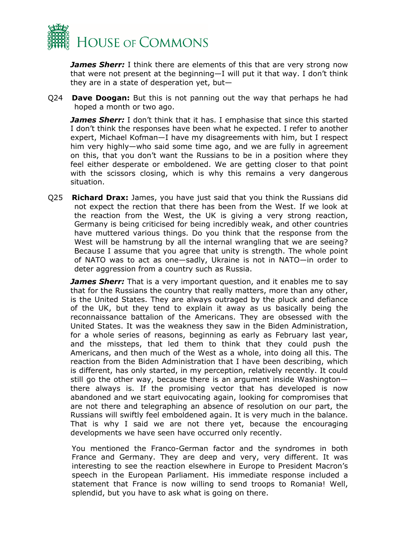

*James Sherr:* I think there are elements of this that are very strong now that were not present at the beginning—I will put it that way. I don't think they are in a state of desperation yet, but—

Q24 **Dave Doogan:** But this is not panning out the way that perhaps he had hoped a month or two ago.

*James Sherr:* I don't think that it has. I emphasise that since this started I don't think the responses have been what he expected. I refer to another expert, Michael Kofman—I have my disagreements with him, but I respect him very highly—who said some time ago, and we are fully in agreement on this, that you don't want the Russians to be in a position where they feel either desperate or emboldened. We are getting closer to that point with the scissors closing, which is why this remains a very dangerous situation.

Q25 **Richard Drax:** James, you have just said that you think the Russians did not expect the rection that there has been from the West. If we look at the reaction from the West, the UK is giving a very strong reaction, Germany is being criticised for being incredibly weak, and other countries have muttered various things. Do you think that the response from the West will be hamstrung by all the internal wrangling that we are seeing? Because I assume that you agree that unity is strength. The whole point of NATO was to act as one—sadly, Ukraine is not in NATO—in order to deter aggression from a country such as Russia.

*James Sherr:* That is a very important question, and it enables me to say that for the Russians the country that really matters, more than any other, is the United States. They are always outraged by the pluck and defiance of the UK, but they tend to explain it away as us basically being the reconnaissance battalion of the Americans. They are obsessed with the United States. It was the weakness they saw in the Biden Administration, for a whole series of reasons, beginning as early as February last year, and the missteps, that led them to think that they could push the Americans, and then much of the West as a whole, into doing all this. The reaction from the Biden Administration that I have been describing, which is different, has only started, in my perception, relatively recently. It could still go the other way, because there is an argument inside Washington there always is. If the promising vector that has developed is now abandoned and we start equivocating again, looking for compromises that are not there and telegraphing an absence of resolution on our part, the Russians will swiftly feel emboldened again. It is very much in the balance. That is why I said we are not there yet, because the encouraging developments we have seen have occurred only recently.

You mentioned the Franco-German factor and the syndromes in both France and Germany. They are deep and very, very different. It was interesting to see the reaction elsewhere in Europe to President Macron's speech in the European Parliament. His immediate response included a statement that France is now willing to send troops to Romania! Well, splendid, but you have to ask what is going on there.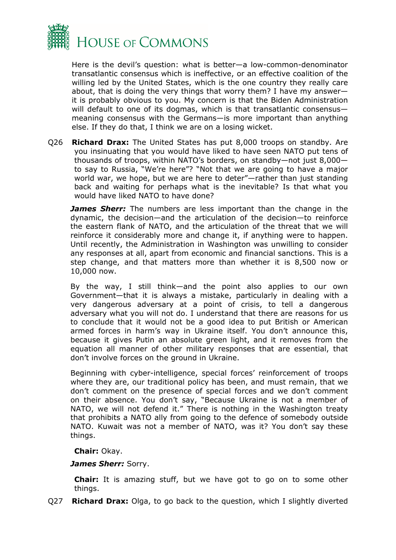

Here is the devil's question: what is better—a low-common-denominator transatlantic consensus which is ineffective, or an effective coalition of the willing led by the United States, which is the one country they really care about, that is doing the very things that worry them? I have my answer it is probably obvious to you. My concern is that the Biden Administration will default to one of its dogmas, which is that transatlantic consensusmeaning consensus with the Germans—is more important than anything else. If they do that, I think we are on a losing wicket.

Q26 **Richard Drax:** The United States has put 8,000 troops on standby. Are you insinuating that you would have liked to have seen NATO put tens of thousands of troops, within NATO's borders, on standby—not just 8,000 to say to Russia, "We're here"? "Not that we are going to have a major world war, we hope, but we are here to deter"—rather than just standing back and waiting for perhaps what is the inevitable? Is that what you would have liked NATO to have done?

*James Sherr:* The numbers are less important than the change in the dynamic, the decision—and the articulation of the decision—to reinforce the eastern flank of NATO, and the articulation of the threat that we will reinforce it considerably more and change it, if anything were to happen. Until recently, the Administration in Washington was unwilling to consider any responses at all, apart from economic and financial sanctions. This is a step change, and that matters more than whether it is 8,500 now or 10,000 now.

By the way, I still think—and the point also applies to our own Government—that it is always a mistake, particularly in dealing with a very dangerous adversary at a point of crisis, to tell a dangerous adversary what you will not do. I understand that there are reasons for us to conclude that it would not be a good idea to put British or American armed forces in harm's way in Ukraine itself. You don't announce this, because it gives Putin an absolute green light, and it removes from the equation all manner of other military responses that are essential, that don't involve forces on the ground in Ukraine.

Beginning with cyber-intelligence, special forces' reinforcement of troops where they are, our traditional policy has been, and must remain, that we don't comment on the presence of special forces and we don't comment on their absence. You don't say, "Because Ukraine is not a member of NATO, we will not defend it." There is nothing in the Washington treaty that prohibits a NATO ally from going to the defence of somebody outside NATO. Kuwait was not a member of NATO, was it? You don't say these things.

## **Chair:** Okay.

## *James Sherr:* Sorry.

**Chair:** It is amazing stuff, but we have got to go on to some other things.

Q27 **Richard Drax:** Olga, to go back to the question, which I slightly diverted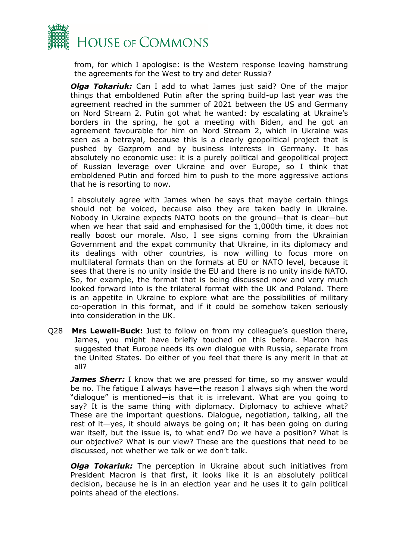

from, for which I apologise: is the Western response leaving hamstrung the agreements for the West to try and deter Russia?

*Olga Tokariuk:* Can I add to what James just said? One of the major things that emboldened Putin after the spring build-up last year was the agreement reached in the summer of 2021 between the US and Germany on Nord Stream 2. Putin got what he wanted: by escalating at Ukraine's borders in the spring, he got a meeting with Biden, and he got an agreement favourable for him on Nord Stream 2, which in Ukraine was seen as a betrayal, because this is a clearly geopolitical project that is pushed by Gazprom and by business interests in Germany. It has absolutely no economic use: it is a purely political and geopolitical project of Russian leverage over Ukraine and over Europe, so I think that emboldened Putin and forced him to push to the more aggressive actions that he is resorting to now.

I absolutely agree with James when he says that maybe certain things should not be voiced, because also they are taken badly in Ukraine. Nobody in Ukraine expects NATO boots on the ground—that is clear—but when we hear that said and emphasised for the 1,000th time, it does not really boost our morale. Also, I see signs coming from the Ukrainian Government and the expat community that Ukraine, in its diplomacy and its dealings with other countries, is now willing to focus more on multilateral formats than on the formats at EU or NATO level, because it sees that there is no unity inside the EU and there is no unity inside NATO. So, for example, the format that is being discussed now and very much looked forward into is the trilateral format with the UK and Poland. There is an appetite in Ukraine to explore what are the possibilities of military co-operation in this format, and if it could be somehow taken seriously into consideration in the UK.

Q28 **Mrs Lewell-Buck:** Just to follow on from my colleague's question there, James, you might have briefly touched on this before. Macron has suggested that Europe needs its own dialogue with Russia, separate from the United States. Do either of you feel that there is any merit in that at all?

*James Sherr:* I know that we are pressed for time, so my answer would be no. The fatigue I always have—the reason I always sigh when the word "dialogue" is mentioned—is that it is irrelevant. What are you going to say? It is the same thing with diplomacy. Diplomacy to achieve what? These are the important questions. Dialogue, negotiation, talking, all the rest of it—yes, it should always be going on; it has been going on during war itself, but the issue is, to what end? Do we have a position? What is our objective? What is our view? These are the questions that need to be discussed, not whether we talk or we don't talk.

*Olga Tokariuk:* The perception in Ukraine about such initiatives from President Macron is that first, it looks like it is an absolutely political decision, because he is in an election year and he uses it to gain political points ahead of the elections.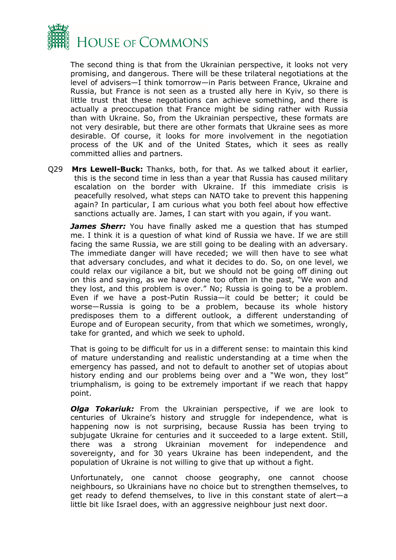

The second thing is that from the Ukrainian perspective, it looks not very promising, and dangerous. There will be these trilateral negotiations at the level of advisers—I think tomorrow—in Paris between France, Ukraine and Russia, but France is not seen as a trusted ally here in Kyiv, so there is little trust that these negotiations can achieve something, and there is actually a preoccupation that France might be siding rather with Russia than with Ukraine. So, from the Ukrainian perspective, these formats are not very desirable, but there are other formats that Ukraine sees as more desirable. Of course, it looks for more involvement in the negotiation process of the UK and of the United States, which it sees as really committed allies and partners.

Q29 **Mrs Lewell-Buck:** Thanks, both, for that. As we talked about it earlier, this is the second time in less than a year that Russia has caused military escalation on the border with Ukraine. If this immediate crisis is peacefully resolved, what steps can NATO take to prevent this happening again? In particular, I am curious what you both feel about how effective sanctions actually are. James, I can start with you again, if you want.

*James Sherr:* You have finally asked me a question that has stumped me. I think it is a question of what kind of Russia we have. If we are still facing the same Russia, we are still going to be dealing with an adversary. The immediate danger will have receded; we will then have to see what that adversary concludes, and what it decides to do. So, on one level, we could relax our vigilance a bit, but we should not be going off dining out on this and saying, as we have done too often in the past, "We won and they lost, and this problem is over." No; Russia is going to be a problem. Even if we have a post-Putin Russia—it could be better; it could be worse—Russia is going to be a problem, because its whole history predisposes them to a different outlook, a different understanding of Europe and of European security, from that which we sometimes, wrongly, take for granted, and which we seek to uphold.

That is going to be difficult for us in a different sense: to maintain this kind of mature understanding and realistic understanding at a time when the emergency has passed, and not to default to another set of utopias about history ending and our problems being over and a "We won, they lost" triumphalism, is going to be extremely important if we reach that happy point.

*Olga Tokariuk:* From the Ukrainian perspective, if we are look to centuries of Ukraine's history and struggle for independence, what is happening now is not surprising, because Russia has been trying to subjugate Ukraine for centuries and it succeeded to a large extent. Still, there was a strong Ukrainian movement for independence and sovereignty, and for 30 years Ukraine has been independent, and the population of Ukraine is not willing to give that up without a fight.

Unfortunately, one cannot choose geography, one cannot choose neighbours, so Ukrainians have no choice but to strengthen themselves, to get ready to defend themselves, to live in this constant state of alert—a little bit like Israel does, with an aggressive neighbour just next door.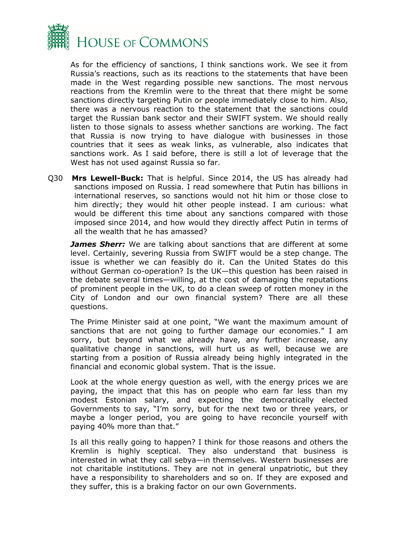

As for the efficiency of sanctions, I think sanctions work. We see it from Russia's reactions, such as its reactions to the statements that have been made in the West regarding possible new sanctions. The most nervous reactions from the Kremlin were to the threat that there might be some sanctions directly targeting Putin or people immediately close to him. Also, there was a nervous reaction to the statement that the sanctions could target the Russian bank sector and their SWIFT system. We should really listen to those signals to assess whether sanctions are working. The fact that Russia is now trying to have dialogue with businesses in those countries that it sees as weak links, as vulnerable, also indicates that sanctions work. As I said before, there is still a lot of leverage that the West has not used against Russia so far.

Q30 **Mrs Lewell-Buck:** That is helpful. Since 2014, the US has already had sanctions imposed on Russia. I read somewhere that Putin has billions in international reserves, so sanctions would not hit him or those close to him directly; they would hit other people instead. I am curious: what would be different this time about any sanctions compared with those imposed since 2014, and how would they directly affect Putin in terms of all the wealth that he has amassed?

*James Sherr:* We are talking about sanctions that are different at some level. Certainly, severing Russia from SWIFT would be a step change. The issue is whether we can feasibly do it. Can the United States do this without German co-operation? Is the UK—this question has been raised in the debate several times—willing, at the cost of damaging the reputations of prominent people in the UK, to do a clean sweep of rotten money in the City of London and our own financial system? There are all these questions.

The Prime Minister said at one point, "We want the maximum amount of sanctions that are not going to further damage our economies." I am sorry, but beyond what we already have, any further increase, any qualitative change in sanctions, will hurt us as well, because we are starting from a position of Russia already being highly integrated in the financial and economic global system. That is the issue.

Look at the whole energy question as well, with the energy prices we are paying, the impact that this has on people who earn far less than my modest Estonian salary, and expecting the democratically elected Governments to say, "I'm sorry, but for the next two or three years, or maybe a longer period, you are going to have reconcile yourself with paying 40% more than that."

Is all this really going to happen? I think for those reasons and others the Kremlin is highly sceptical. They also understand that business is interested in what they call sebya—in themselves. Western businesses are not charitable institutions. They are not in general unpatriotic, but they have a responsibility to shareholders and so on. If they are exposed and they suffer, this is a braking factor on our own Governments.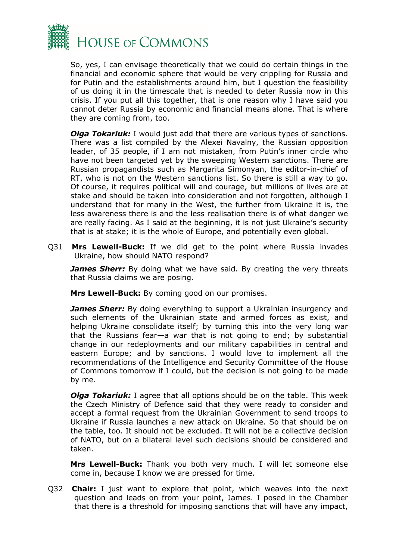

So, yes, I can envisage theoretically that we could do certain things in the financial and economic sphere that would be very crippling for Russia and for Putin and the establishments around him, but I question the feasibility of us doing it in the timescale that is needed to deter Russia now in this crisis. If you put all this together, that is one reason why I have said you cannot deter Russia by economic and financial means alone. That is where they are coming from, too.

*Olga Tokariuk:* I would just add that there are various types of sanctions. There was a list compiled by the Alexei Navalny, the Russian opposition leader, of 35 people, if I am not mistaken, from Putin's inner circle who have not been targeted yet by the sweeping Western sanctions. There are Russian propagandists such as Margarita Simonyan, the editor-in-chief of RT, who is not on the Western sanctions list. So there is still a way to go. Of course, it requires political will and courage, but millions of lives are at stake and should be taken into consideration and not forgotten, although I understand that for many in the West, the further from Ukraine it is, the less awareness there is and the less realisation there is of what danger we are really facing. As I said at the beginning, it is not just Ukraine's security that is at stake; it is the whole of Europe, and potentially even global.

Q31 **Mrs Lewell-Buck:** If we did get to the point where Russia invades Ukraine, how should NATO respond?

*James Sherr:* By doing what we have said. By creating the very threats that Russia claims we are posing.

**Mrs Lewell-Buck:** By coming good on our promises.

*James Sherr:* By doing everything to support a Ukrainian insurgency and such elements of the Ukrainian state and armed forces as exist, and helping Ukraine consolidate itself; by turning this into the very long war that the Russians fear—a war that is not going to end; by substantial change in our redeployments and our military capabilities in central and eastern Europe; and by sanctions. I would love to implement all the recommendations of the Intelligence and Security Committee of the House of Commons tomorrow if I could, but the decision is not going to be made by me.

*Olga Tokariuk:* I agree that all options should be on the table. This week the Czech Ministry of Defence said that they were ready to consider and accept a formal request from the Ukrainian Government to send troops to Ukraine if Russia launches a new attack on Ukraine. So that should be on the table, too. It should not be excluded. It will not be a collective decision of NATO, but on a bilateral level such decisions should be considered and taken.

**Mrs Lewell-Buck:** Thank you both very much. I will let someone else come in, because I know we are pressed for time.

Q32 **Chair:** I just want to explore that point, which weaves into the next question and leads on from your point, James. I posed in the Chamber that there is a threshold for imposing sanctions that will have any impact,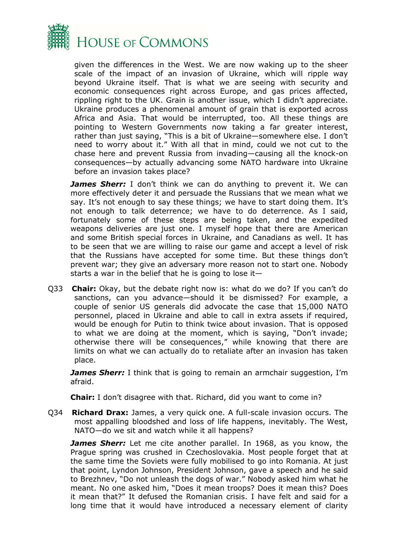

given the differences in the West. We are now waking up to the sheer scale of the impact of an invasion of Ukraine, which will ripple way beyond Ukraine itself. That is what we are seeing with security and economic consequences right across Europe, and gas prices affected, rippling right to the UK. Grain is another issue, which I didn't appreciate. Ukraine produces a phenomenal amount of grain that is exported across Africa and Asia. That would be interrupted, too. All these things are pointing to Western Governments now taking a far greater interest, rather than just saying, "This is a bit of Ukraine—somewhere else. I don't need to worry about it." With all that in mind, could we not cut to the chase here and prevent Russia from invading—causing all the knock-on consequences—by actually advancing some NATO hardware into Ukraine before an invasion takes place?

*James Sherr:* I don't think we can do anything to prevent it. We can more effectively deter it and persuade the Russians that we mean what we say. It's not enough to say these things; we have to start doing them. It's not enough to talk deterrence; we have to do deterrence. As I said, fortunately some of these steps are being taken, and the expedited weapons deliveries are just one. I myself hope that there are American and some British special forces in Ukraine, and Canadians as well. It has to be seen that we are willing to raise our game and accept a level of risk that the Russians have accepted for some time. But these things don't prevent war; they give an adversary more reason not to start one. Nobody starts a war in the belief that he is going to lose it-

Q33 **Chair:** Okay, but the debate right now is: what do we do? If you can't do sanctions, can you advance—should it be dismissed? For example, a couple of senior US generals did advocate the case that 15,000 NATO personnel, placed in Ukraine and able to call in extra assets if required, would be enough for Putin to think twice about invasion. That is opposed to what we are doing at the moment, which is saying, "Don't invade; otherwise there will be consequences," while knowing that there are limits on what we can actually do to retaliate after an invasion has taken place.

*James Sherr:* I think that is going to remain an armchair suggestion, I'm afraid.

**Chair:** I don't disagree with that. Richard, did you want to come in?

Q34 **Richard Drax:** James, a very quick one. A full-scale invasion occurs. The most appalling bloodshed and loss of life happens, inevitably. The West, NATO—do we sit and watch while it all happens?

*James Sherr:* Let me cite another parallel. In 1968, as you know, the Prague spring was crushed in Czechoslovakia. Most people forget that at the same time the Soviets were fully mobilised to go into Romania. At just that point, Lyndon Johnson, President Johnson, gave a speech and he said to Brezhnev, "Do not unleash the dogs of war." Nobody asked him what he meant. No one asked him, "Does it mean troops? Does it mean this? Does it mean that?" It defused the Romanian crisis. I have felt and said for a long time that it would have introduced a necessary element of clarity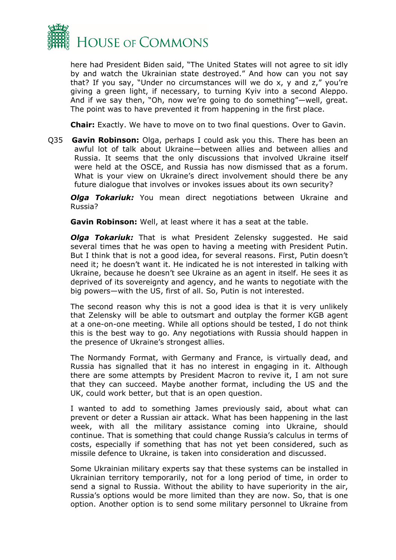

here had President Biden said, "The United States will not agree to sit idly by and watch the Ukrainian state destroyed." And how can you not say that? If you say, "Under no circumstances will we do x, y and z," you're giving a green light, if necessary, to turning Kyiv into a second Aleppo. And if we say then, "Oh, now we're going to do something"—well, great. The point was to have prevented it from happening in the first place.

**Chair:** Exactly. We have to move on to two final questions. Over to Gavin.

Q35 **Gavin Robinson:** Olga, perhaps I could ask you this. There has been an awful lot of talk about Ukraine—between allies and between allies and Russia. It seems that the only discussions that involved Ukraine itself were held at the OSCE, and Russia has now dismissed that as a forum. What is your view on Ukraine's direct involvement should there be any future dialogue that involves or invokes issues about its own security?

*Olga Tokariuk:* You mean direct negotiations between Ukraine and Russia?

**Gavin Robinson:** Well, at least where it has a seat at the table.

*Olga Tokariuk:* That is what President Zelensky suggested. He said several times that he was open to having a meeting with President Putin. But I think that is not a good idea, for several reasons. First, Putin doesn't need it; he doesn't want it. He indicated he is not interested in talking with Ukraine, because he doesn't see Ukraine as an agent in itself. He sees it as deprived of its sovereignty and agency, and he wants to negotiate with the big powers—with the US, first of all. So, Putin is not interested.

The second reason why this is not a good idea is that it is very unlikely that Zelensky will be able to outsmart and outplay the former KGB agent at a one-on-one meeting. While all options should be tested, I do not think this is the best way to go. Any negotiations with Russia should happen in the presence of Ukraine's strongest allies.

The Normandy Format, with Germany and France, is virtually dead, and Russia has signalled that it has no interest in engaging in it. Although there are some attempts by President Macron to revive it, I am not sure that they can succeed. Maybe another format, including the US and the UK, could work better, but that is an open question.

I wanted to add to something James previously said, about what can prevent or deter a Russian air attack. What has been happening in the last week, with all the military assistance coming into Ukraine, should continue. That is something that could change Russia's calculus in terms of costs, especially if something that has not yet been considered, such as missile defence to Ukraine, is taken into consideration and discussed.

Some Ukrainian military experts say that these systems can be installed in Ukrainian territory temporarily, not for a long period of time, in order to send a signal to Russia. Without the ability to have superiority in the air, Russia's options would be more limited than they are now. So, that is one option. Another option is to send some military personnel to Ukraine from